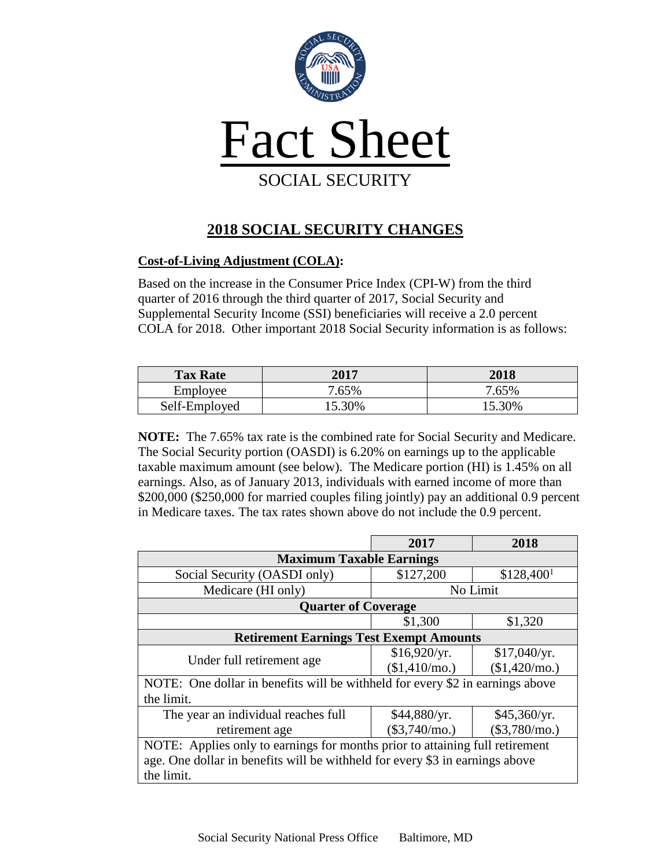

## **2018 SOCIAL SECURITY CHANGES**

## **Cost-of-Living Adjustment (COLA):**

Based on the increase in the Consumer Price Index (CPI-W) from the third quarter of 2016 through the third quarter of 2017, Social Security and Supplemental Security Income (SSI) beneficiaries will receive a 2.0 percent COLA for 2018. Other important 2018 Social Security information is as follows:

| <b>Tax Rate</b> | 2017   | 2018   |
|-----------------|--------|--------|
| Employee        | 7.65%  | 7.65%  |
| Self-Employed   | 15.30% | 15.30% |

**NOTE:** The 7.65% tax rate is the combined rate for Social Security and Medicare. The Social Security portion (OASDI) is 6.20% on earnings up to the applicable taxable maximum amount (see below). The Medicare portion (HI) is 1.45% on all earnings. Also, as of January 2013, individuals with earned income of more than \$200,000 (\$250,000 for married couples filing jointly) pay an additional 0.9 percent in Medicare taxes. The tax rates shown above do not include the 0.9 percent.

|                                                                               | 2017            | 2018                   |  |  |  |
|-------------------------------------------------------------------------------|-----------------|------------------------|--|--|--|
| <b>Maximum Taxable Earnings</b>                                               |                 |                        |  |  |  |
| Social Security (OASDI only)                                                  | \$127,200       | \$128,400 <sup>1</sup> |  |  |  |
| Medicare (HI only)                                                            | No Limit        |                        |  |  |  |
| <b>Quarter of Coverage</b>                                                    |                 |                        |  |  |  |
|                                                                               | \$1,300         | \$1,320                |  |  |  |
| <b>Retirement Earnings Test Exempt Amounts</b>                                |                 |                        |  |  |  |
|                                                                               | \$16,920/yr.    | \$17,040/yr.           |  |  |  |
| Under full retirement age.                                                    | $$1,410/mol$ .  | $$1,420/mol$ .         |  |  |  |
| NOTE: One dollar in benefits will be withheld for every \$2 in earnings above |                 |                        |  |  |  |
| the limit.                                                                    |                 |                        |  |  |  |
| The year an individual reaches full                                           | \$44,880/yr.    | \$45,360/yr.           |  |  |  |
| retirement age                                                                | $(\$3,740/mo.)$ | $(\$3,780/mo.)$        |  |  |  |
| NOTE: Applies only to earnings for months prior to attaining full retirement  |                 |                        |  |  |  |
| age. One dollar in benefits will be withheld for every \$3 in earnings above  |                 |                        |  |  |  |
| the limit.                                                                    |                 |                        |  |  |  |